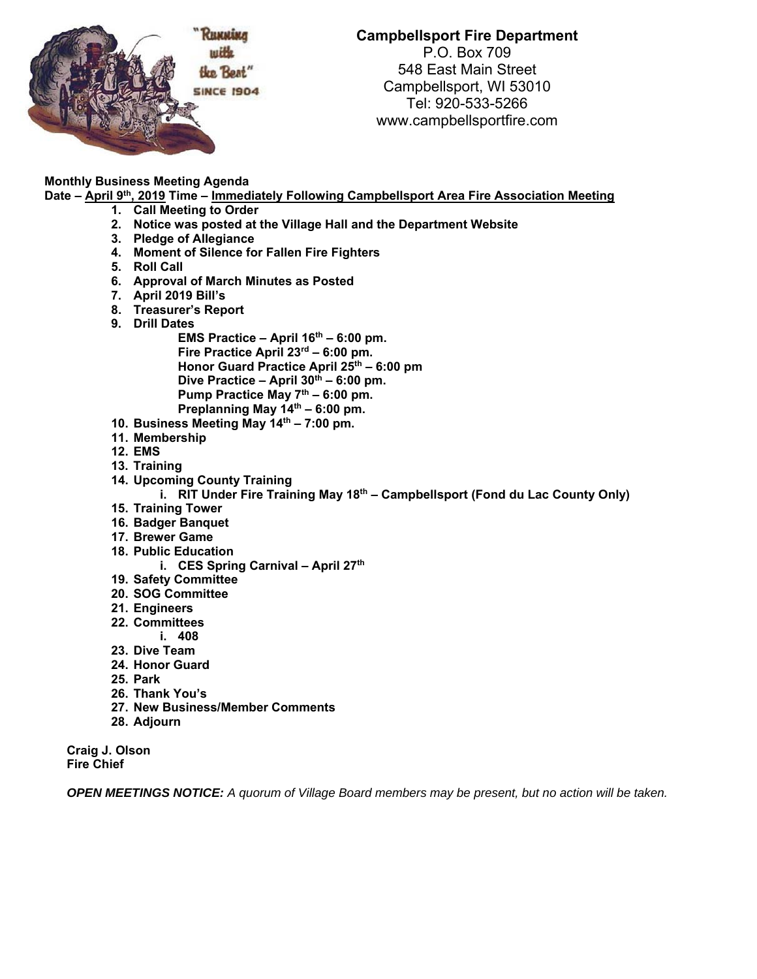

**Campbellsport Fire Department**  P.O. Box 709 548 East Main Street Campbellsport, WI 53010 Tel: 920-533-5266

www.campbellsportfire.com

## **Monthly Business Meeting Agenda**

Date – April 9<sup>th</sup>, 2019 Time – Immediately Following Campbellsport Area Fire Association Meeting

- **1. Call Meeting to Order**
- **2. Notice was posted at the Village Hall and the Department Website**
- **3. Pledge of Allegiance**
- **4. Moment of Silence for Fallen Fire Fighters**
- **5. Roll Call**
- **6. Approval of March Minutes as Posted**
- **7. April 2019 Bill's**
- **8. Treasurer's Report**
- **9. Drill Dates**

EMS Practice – April 16<sup>th</sup> – 6:00 pm. **Fire Practice April 23rd – 6:00 pm. Honor Guard Practice April 25th – 6:00 pm**  Dive Practice – April 30<sup>th</sup> – 6:00 pm. Pump Practice May 7<sup>th</sup> – 6:00 pm. **Preplanning May 14th – 6:00 pm.** 

- **10. Business Meeting May 14th 7:00 pm.**
- **11. Membership**
- **12. EMS**
- **13. Training**
- **14. Upcoming County Training** 
	- **i.** RIT Under Fire Training May 18<sup>th</sup> Campbellsport (Fond du Lac County Only)
- **15. Training Tower**
- **16. Badger Banquet**
- **17. Brewer Game**
- **18. Public Education** 
	- **i.** CES Spring Carnival April 27<sup>th</sup>
- **19. Safety Committee**
- **20. SOG Committee**
- **21. Engineers**
- **22. Committees i. 408**
- 
- **23. Dive Team**
- **24. Honor Guard**
- **25. Park**
- **26. Thank You's**
- **27. New Business/Member Comments**
- **28. Adjourn**

**Craig J. Olson Fire Chief** 

*OPEN MEETINGS NOTICE: A quorum of Village Board members may be present, but no action will be taken.*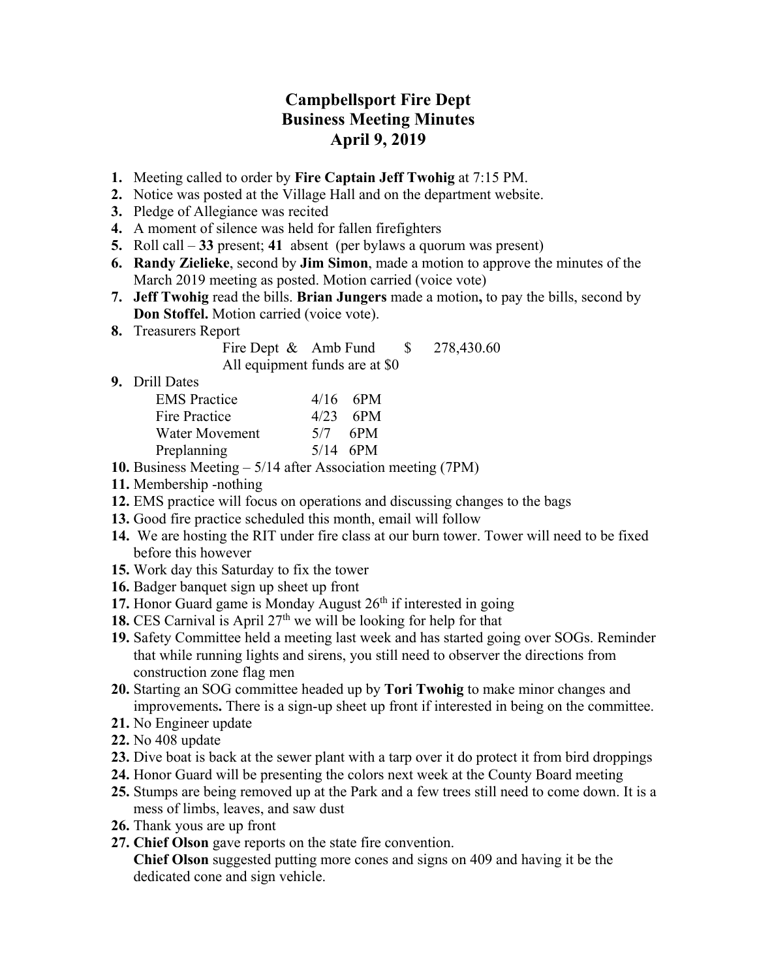## **Campbellsport Fire Dept Business Meeting Minutes April 9, 2019**

- **1.** Meeting called to order by **Fire Captain Jeff Twohig** at 7:15 PM.
- **2.** Notice was posted at the Village Hall and on the department website.
- **3.** Pledge of Allegiance was recited
- **4.** A moment of silence was held for fallen firefighters
- **5.** Roll call **33** present; **41** absent (per bylaws a quorum was present)
- **6. Randy Zielieke**, second by **Jim Simon**, made a motion to approve the minutes of the March 2019 meeting as posted. Motion carried (voice vote)
- **7. Jeff Twohig** read the bills. **Brian Jungers** made a motion**,** to pay the bills, second by **Don Stoffel.** Motion carried (voice vote).
- **8.** Treasurers Report

Fire Dept & Amb Fund \$ 278,430.60 All equipment funds are at \$0

**9.** Drill Dates

| <b>EMS</b> Practice | $4/16$ 6PM |
|---------------------|------------|
| Fire Practice       | $4/23$ 6PM |
| Water Movement      | $5/7$ 6PM  |
| Preplanning         | $5/14$ 6PM |

- **10.** Business Meeting 5/14 after Association meeting (7PM)
- **11.** Membership -nothing
- **12.** EMS practice will focus on operations and discussing changes to the bags
- **13.** Good fire practice scheduled this month, email will follow
- **14.** We are hosting the RIT under fire class at our burn tower. Tower will need to be fixed before this however
- **15.** Work day this Saturday to fix the tower
- **16.** Badger banquet sign up sheet up front
- **17.** Honor Guard game is Monday August  $26<sup>th</sup>$  if interested in going
- **18.** CES Carnival is April  $27<sup>th</sup>$  we will be looking for help for that
- **19.** Safety Committee held a meeting last week and has started going over SOGs. Reminder that while running lights and sirens, you still need to observer the directions from construction zone flag men
- **20.** Starting an SOG committee headed up by **Tori Twohig** to make minor changes and improvements**.** There is a sign-up sheet up front if interested in being on the committee.
- **21.** No Engineer update
- **22.** No 408 update
- **23.** Dive boat is back at the sewer plant with a tarp over it do protect it from bird droppings
- **24.** Honor Guard will be presenting the colors next week at the County Board meeting
- **25.** Stumps are being removed up at the Park and a few trees still need to come down. It is a mess of limbs, leaves, and saw dust
- **26.** Thank yous are up front
- **27. Chief Olson** gave reports on the state fire convention.

**Chief Olson** suggested putting more cones and signs on 409 and having it be the dedicated cone and sign vehicle.